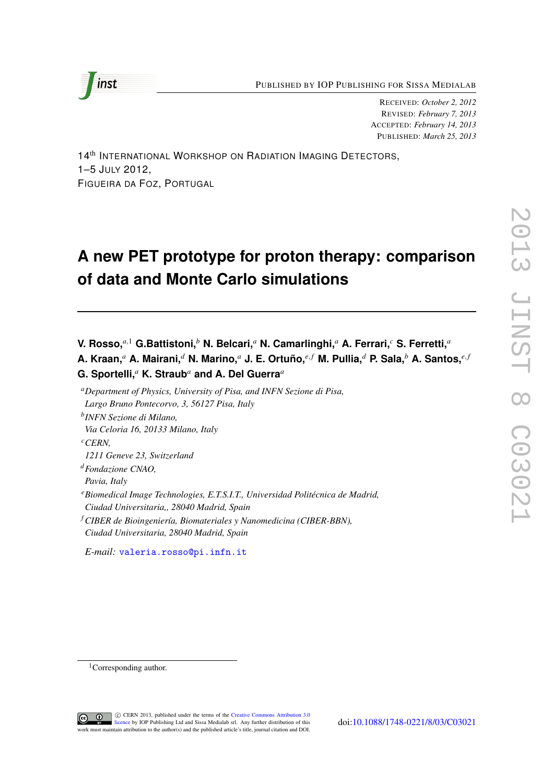PUBLISHED BY IOP PUBLISHING FOR SISSA MEDIALAB



RECEIVED: *October 2, 2012* REVISED: *February 7, 2013* ACCEPTED: *February 14, 2013* PUBLISHED: *March 25, 2013*

14<sup>th</sup> INTERNATIONAL WORKSHOP ON RADIATION IMAGING DETECTORS. 1–5 JULY 2012, FIGUEIRA DA FOZ, PORTUGAL

# **A new PET prototype for proton therapy: comparison of data and Monte Carlo simulations**

**V. Rosso,***a*,<sup>1</sup> **G.Battistoni,***<sup>b</sup>* **N. Belcari,***<sup>a</sup>* **N. Camarlinghi,***<sup>a</sup>* **A. Ferrari,***<sup>c</sup>* **S. Ferretti,***<sup>a</sup>* **A. Kraan,***<sup>a</sup>* **A. Mairani,***<sup>d</sup>* **N. Marino,***<sup>a</sup>* **J. E. Ortuno, ˜** *<sup>e</sup>*, *<sup>f</sup>* **M. Pullia,***<sup>d</sup>* **P. Sala,***<sup>b</sup>* **A. Santos,***e*, *<sup>f</sup>* **G. Sportelli,***<sup>a</sup>* **K. Straub***<sup>a</sup>* **and A. Del Guerra***<sup>a</sup>*

*<sup>a</sup>Department of Physics, University of Pisa, and INFN Sezione di Pisa, Largo Bruno Pontecorvo, 3, 56127 Pisa, Italy b INFN Sezione di Milano, Via Celoria 16, 20133 Milano, Italy <sup>c</sup>CERN, 1211 Geneve 23, Switzerland <sup>d</sup>Fondazione CNAO, Pavia, Italy <sup>e</sup>Biomedical Image Technologies, E.T.S.I.T., Universidad Politecnica de Madrid, ´*

*Ciudad Universitaria,, 28040 Madrid, Spain*

*<sup>f</sup>CIBER de Bioingenier´ıa, Biomateriales y Nanomedicina (CIBER-BBN), Ciudad Universitaria, 28040 Madrid, Spain*

*E-mail:* [valeria.rosso@pi.infn.it](mailto:valeria.rosso@pi.infn.it)

<sup>&</sup>lt;sup>1</sup>Corresponding author.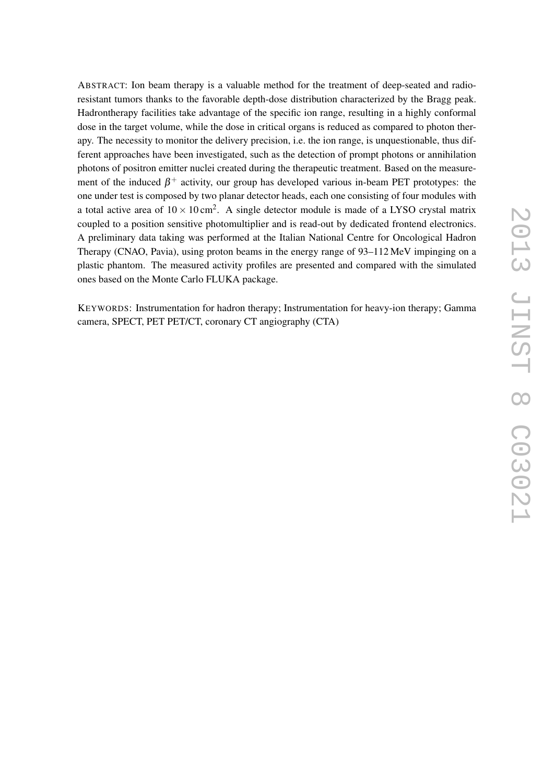ABSTRACT: Ion beam therapy is a valuable method for the treatment of deep-seated and radioresistant tumors thanks to the favorable depth-dose distribution characterized by the Bragg peak. Hadrontherapy facilities take advantage of the specific ion range, resulting in a highly conformal dose in the target volume, while the dose in critical organs is reduced as compared to photon therapy. The necessity to monitor the delivery precision, i.e. the ion range, is unquestionable, thus different approaches have been investigated, such as the detection of prompt photons or annihilation photons of positron emitter nuclei created during the therapeutic treatment. Based on the measurement of the induced  $\beta^+$  activity, our group has developed various in-beam PET prototypes: the one under test is composed by two planar detector heads, each one consisting of four modules with a total active area of  $10 \times 10 \text{ cm}^2$ . A single detector module is made of a LYSO crystal matrix coupled to a position sensitive photomultiplier and is read-out by dedicated frontend electronics. A preliminary data taking was performed at the Italian National Centre for Oncological Hadron Therapy (CNAO, Pavia), using proton beams in the energy range of 93–112 MeV impinging on a plastic phantom. The measured activity profiles are presented and compared with the simulated ones based on the Monte Carlo FLUKA package.

KEYWORDS: Instrumentation for hadron therapy; Instrumentation for heavy-ion therapy; Gamma camera, SPECT, PET PET/CT, coronary CT angiography (CTA)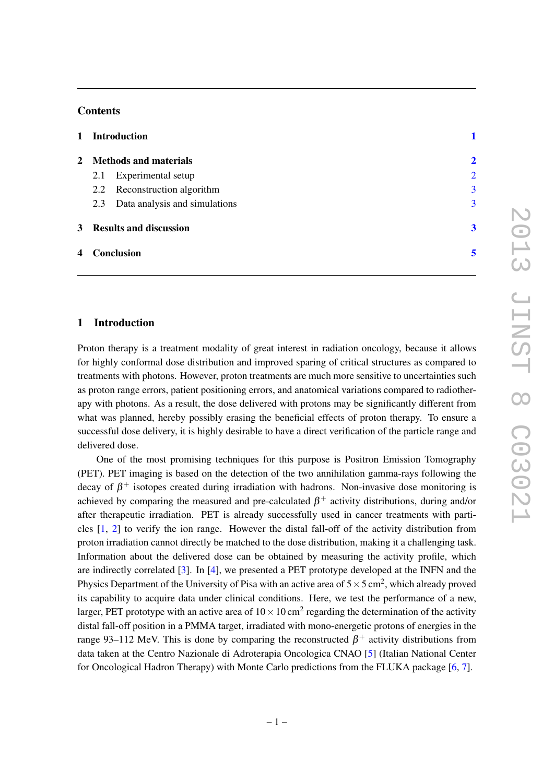# **Contents**

|              |                          | 1 Introduction                    |                         |
|--------------|--------------------------|-----------------------------------|-------------------------|
| $\mathbf{2}$ |                          | <b>Methods and materials</b>      | $\overline{2}$          |
|              | 2.1                      | Experimental setup                | $\overline{2}$          |
|              |                          | 2.2 Reconstruction algorithm      | $\overline{3}$          |
|              |                          | 2.3 Data analysis and simulations | $\overline{3}$          |
|              | 3 Results and discussion |                                   | $\overline{\mathbf{3}}$ |
|              | 4 Conclusion             |                                   |                         |

## <span id="page-2-0"></span>1 Introduction

Proton therapy is a treatment modality of great interest in radiation oncology, because it allows for highly conformal dose distribution and improved sparing of critical structures as compared to treatments with photons. However, proton treatments are much more sensitive to uncertainties such as proton range errors, patient positioning errors, and anatomical variations compared to radiotherapy with photons. As a result, the dose delivered with protons may be significantly different from what was planned, hereby possibly erasing the beneficial effects of proton therapy. To ensure a successful dose delivery, it is highly desirable to have a direct verification of the particle range and delivered dose.

One of the most promising techniques for this purpose is Positron Emission Tomography (PET). PET imaging is based on the detection of the two annihilation gamma-rays following the decay of  $\beta^+$  isotopes created during irradiation with hadrons. Non-invasive dose monitoring is achieved by comparing the measured and pre-calculated  $\beta^+$  activity distributions, during and/or after therapeutic irradiation. PET is already successfully used in cancer treatments with particles [\[1,](#page-6-1) [2\]](#page-6-2) to verify the ion range. However the distal fall-off of the activity distribution from proton irradiation cannot directly be matched to the dose distribution, making it a challenging task. Information about the delivered dose can be obtained by measuring the activity profile, which are indirectly correlated [\[3\]](#page-7-0). In [\[4\]](#page-7-1), we presented a PET prototype developed at the INFN and the Physics Department of the University of Pisa with an active area of  $5 \times 5$  cm<sup>2</sup>, which already proved its capability to acquire data under clinical conditions. Here, we test the performance of a new, larger, PET prototype with an active area of  $10 \times 10\,\text{cm}^2$  regarding the determination of the activity distal fall-off position in a PMMA target, irradiated with mono-energetic protons of energies in the range 93–112 MeV. This is done by comparing the reconstructed  $\beta^+$  activity distributions from data taken at the Centro Nazionale di Adroterapia Oncologica CNAO [\[5\]](#page-7-2) (Italian National Center for Oncological Hadron Therapy) with Monte Carlo predictions from the FLUKA package [\[6,](#page-7-3) [7\]](#page-7-4).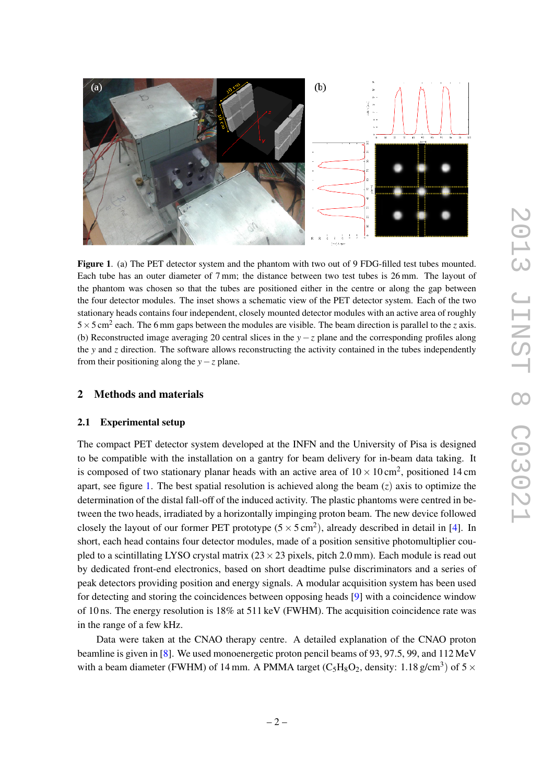

<span id="page-3-2"></span>Figure 1. (a) The PET detector system and the phantom with two out of 9 FDG-filled test tubes mounted. Each tube has an outer diameter of 7 mm; the distance between two test tubes is 26 mm. The layout of the phantom was chosen so that the tubes are positioned either in the centre or along the gap between the four detector modules. The inset shows a schematic view of the PET detector system. Each of the two stationary heads contains four independent, closely mounted detector modules with an active area of roughly  $5 \times 5$  cm<sup>2</sup> each. The 6 mm gaps between the modules are visible. The beam direction is parallel to the *z* axis. (b) Reconstructed image averaging 20 central slices in the *y*−*z* plane and the corresponding profiles along the *y* and *z* direction. The software allows reconstructing the activity contained in the tubes independently from their positioning along the *y* − *z* plane.

# <span id="page-3-0"></span>2 Methods and materials

## <span id="page-3-1"></span>2.1 Experimental setup

The compact PET detector system developed at the INFN and the University of Pisa is designed to be compatible with the installation on a gantry for beam delivery for in-beam data taking. It is composed of two stationary planar heads with an active area of  $10 \times 10 \text{ cm}^2$ , positioned 14 cm apart, see figure [1.](#page-3-2) The best spatial resolution is achieved along the beam  $(z)$  axis to optimize the determination of the distal fall-off of the induced activity. The plastic phantoms were centred in between the two heads, irradiated by a horizontally impinging proton beam. The new device followed closely the layout of our former PET prototype  $(5 \times 5 \text{ cm}^2)$ , already described in detail in [\[4\]](#page-7-1). In short, each head contains four detector modules, made of a position sensitive photomultiplier coupled to a scintillating LYSO crystal matrix  $(23 \times 23$  pixels, pitch 2.0 mm). Each module is read out by dedicated front-end electronics, based on short deadtime pulse discriminators and a series of peak detectors providing position and energy signals. A modular acquisition system has been used for detecting and storing the coincidences between opposing heads [\[9\]](#page-7-5) with a coincidence window of 10 ns. The energy resolution is 18% at 511 keV (FWHM). The acquisition coincidence rate was in the range of a few kHz.

Data were taken at the CNAO therapy centre. A detailed explanation of the CNAO proton beamline is given in [\[8\]](#page-7-6). We used monoenergetic proton pencil beams of 93, 97.5, 99, and 112 MeV with a beam diameter (FWHM) of 14 mm. A PMMA target (C<sub>5</sub>H<sub>8</sub>O<sub>2</sub>, density: 1.18 g/cm<sup>3</sup>) of 5  $\times$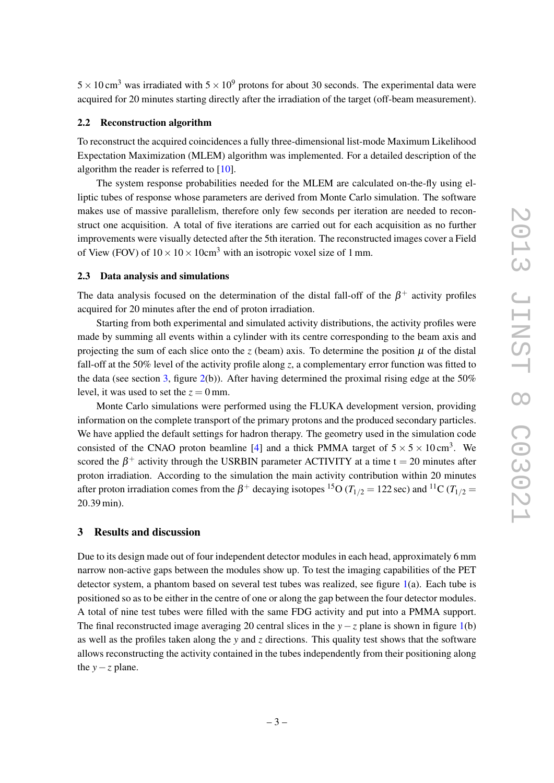$5 \times 10 \text{ cm}^3$  was irradiated with  $5 \times 10^9$  protons for about 30 seconds. The experimental data were acquired for 20 minutes starting directly after the irradiation of the target (off-beam measurement).

## <span id="page-4-0"></span>2.2 Reconstruction algorithm

To reconstruct the acquired coincidences a fully three-dimensional list-mode Maximum Likelihood Expectation Maximization (MLEM) algorithm was implemented. For a detailed description of the algorithm the reader is referred to [\[10\]](#page-7-7).

The system response probabilities needed for the MLEM are calculated on-the-fly using elliptic tubes of response whose parameters are derived from Monte Carlo simulation. The software makes use of massive parallelism, therefore only few seconds per iteration are needed to reconstruct one acquisition. A total of five iterations are carried out for each acquisition as no further improvements were visually detected after the 5th iteration. The reconstructed images cover a Field of View (FOV) of  $10 \times 10 \times 10$ cm<sup>3</sup> with an isotropic voxel size of 1 mm.

#### <span id="page-4-1"></span>2.3 Data analysis and simulations

The data analysis focused on the determination of the distal fall-off of the  $\beta^+$  activity profiles acquired for 20 minutes after the end of proton irradiation.

Starting from both experimental and simulated activity distributions, the activity profiles were made by summing all events within a cylinder with its centre corresponding to the beam axis and projecting the sum of each slice onto the  $z$  (beam) axis. To determine the position  $\mu$  of the distal fall-off at the 50% level of the activity profile along *z*, a complementary error function was fitted to the data (see section [3,](#page-4-2) figure [2\(](#page-5-0)b)). After having determined the proximal rising edge at the  $50\%$ level, it was used to set the  $z = 0$  mm.

Monte Carlo simulations were performed using the FLUKA development version, providing information on the complete transport of the primary protons and the produced secondary particles. We have applied the default settings for hadron therapy. The geometry used in the simulation code consisted of the CNAO proton beamline [\[4\]](#page-7-1) and a thick PMMA target of  $5 \times 5 \times 10 \text{ cm}^3$ . We scored the  $\beta^+$  activity through the USRBIN parameter ACTIVITY at a time t = 20 minutes after proton irradiation. According to the simulation the main activity contribution within 20 minutes after proton irradiation comes from the  $\beta^+$  decaying isotopes <sup>15</sup>O ( $T_{1/2}$  = 122 sec) and <sup>11</sup>C ( $T_{1/2}$  = 20.39 min).

## <span id="page-4-2"></span>3 Results and discussion

Due to its design made out of four independent detector modules in each head, approximately 6 mm narrow non-active gaps between the modules show up. To test the imaging capabilities of the PET detector system, a phantom based on several test tubes was realized, see figure [1\(](#page-3-2)a). Each tube is positioned so as to be either in the centre of one or along the gap between the four detector modules. A total of nine test tubes were filled with the same FDG activity and put into a PMMA support. The final reconstructed image averaging 20 central slices in the *y*−*z* plane is shown in figure [1\(](#page-3-2)b) as well as the profiles taken along the *y* and *z* directions. This quality test shows that the software allows reconstructing the activity contained in the tubes independently from their positioning along the  $y - z$  plane.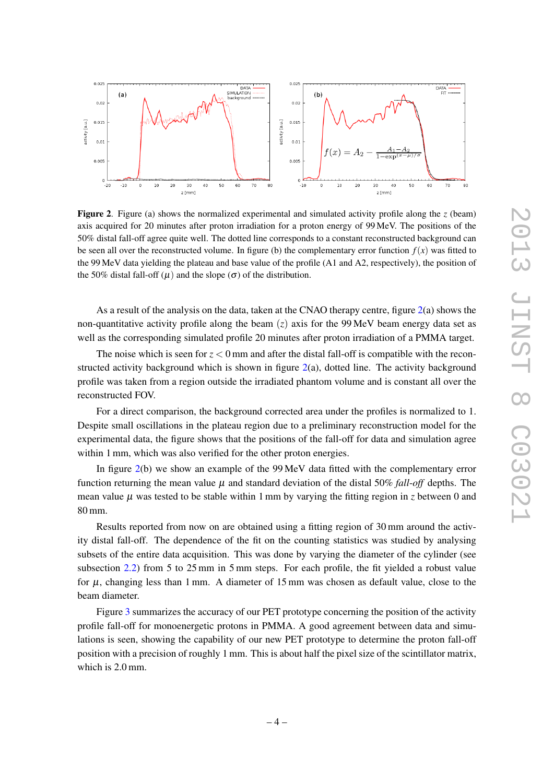

<span id="page-5-0"></span>Figure 2. Figure (a) shows the normalized experimental and simulated activity profile along the *z* (beam) axis acquired for 20 minutes after proton irradiation for a proton energy of 99 MeV. The positions of the 50% distal fall-off agree quite well. The dotted line corresponds to a constant reconstructed background can be seen all over the reconstructed volume. In figure (b) the complementary error function  $f(x)$  was fitted to the 99 MeV data yielding the plateau and base value of the profile (A1 and A2, respectively), the position of the 50% distal fall-off  $(\mu)$  and the slope  $(\sigma)$  of the distribution.

As a result of the analysis on the data, taken at the CNAO therapy centre, figure  $2(a)$  $2(a)$  shows the non-quantitative activity profile along the beam (*z*) axis for the 99 MeV beam energy data set as well as the corresponding simulated profile 20 minutes after proton irradiation of a PMMA target.

The noise which is seen for  $z < 0$  mm and after the distal fall-off is compatible with the reconstructed activity background which is shown in figure  $2(a)$  $2(a)$ , dotted line. The activity background profile was taken from a region outside the irradiated phantom volume and is constant all over the reconstructed FOV.

For a direct comparison, the background corrected area under the profiles is normalized to 1. Despite small oscillations in the plateau region due to a preliminary reconstruction model for the experimental data, the figure shows that the positions of the fall-off for data and simulation agree within 1 mm, which was also verified for the other proton energies.

In figure [2\(](#page-5-0)b) we show an example of the 99 MeV data fitted with the complementary error function returning the mean value µ and standard deviation of the distal 50% *fall*-*off* depths. The mean value  $\mu$  was tested to be stable within 1 mm by varying the fitting region in *z* between 0 and 80 mm.

Results reported from now on are obtained using a fitting region of 30 mm around the activity distal fall-off. The dependence of the fit on the counting statistics was studied by analysing subsets of the entire data acquisition. This was done by varying the diameter of the cylinder (see subsection [2.2\)](#page-4-0) from 5 to 25 mm in 5 mm steps. For each profile, the fit yielded a robust value for  $\mu$ , changing less than 1 mm. A diameter of 15 mm was chosen as default value, close to the beam diameter.

Figure [3](#page-6-3) summarizes the accuracy of our PET prototype concerning the position of the activity profile fall-off for monoenergetic protons in PMMA. A good agreement between data and simulations is seen, showing the capability of our new PET prototype to determine the proton fall-off position with a precision of roughly 1 mm. This is about half the pixel size of the scintillator matrix, which is 2.0 mm.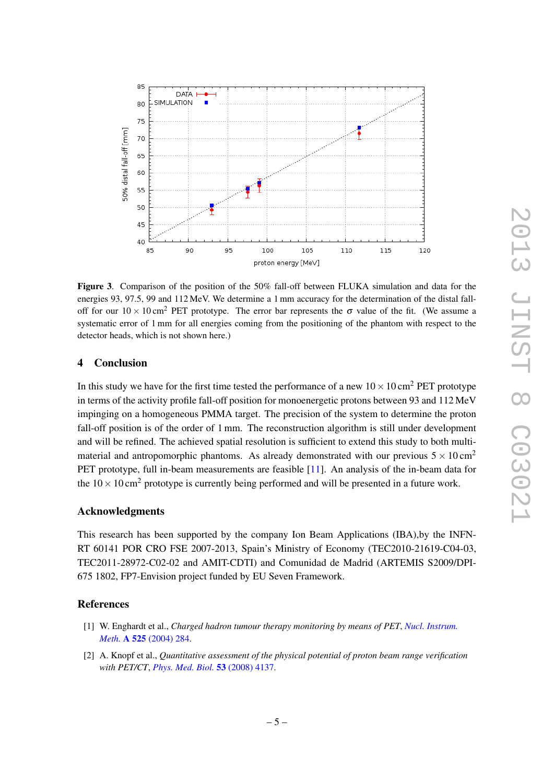

<span id="page-6-3"></span>Figure 3. Comparison of the position of the 50% fall-off between FLUKA simulation and data for the energies 93, 97.5, 99 and 112 MeV. We determine a 1 mm accuracy for the determination of the distal falloff for our  $10 \times 10 \text{ cm}^2$  PET prototype. The error bar represents the  $\sigma$  value of the fit. (We assume a systematic error of 1 mm for all energies coming from the positioning of the phantom with respect to the detector heads, which is not shown here.)

# <span id="page-6-0"></span>4 Conclusion

In this study we have for the first time tested the performance of a new  $10 \times 10 \text{ cm}^2$  PET prototype in terms of the activity profile fall-off position for monoenergetic protons between 93 and 112 MeV impinging on a homogeneous PMMA target. The precision of the system to determine the proton fall-off position is of the order of 1 mm. The reconstruction algorithm is still under development and will be refined. The achieved spatial resolution is sufficient to extend this study to both multimaterial and antropomorphic phantoms. As already demonstrated with our previous  $5 \times 10 \text{ cm}^2$ PET prototype, full in-beam measurements are feasible [\[11\]](#page-7-8). An analysis of the in-beam data for the  $10 \times 10 \text{ cm}^2$  prototype is currently being performed and will be presented in a future work.

## Acknowledgments

This research has been supported by the company Ion Beam Applications (IBA),by the INFN-RT 60141 POR CRO FSE 2007-2013, Spain's Ministry of Economy (TEC2010-21619-C04-03, TEC2011-28972-C02-02 and AMIT-CDTI) and Comunidad de Madrid (ARTEMIS S2009/DPI-675 1802, FP7-Envision project funded by EU Seven Framework.

# References

- <span id="page-6-1"></span>[1] W. Enghardt et al., *Charged hadron tumour therapy monitoring by means of PET*, *[Nucl. Instrum.](http://dx.doi.org/10.1016/j.nima.2004.03.128) Meth.* A 525 [\(2004\) 284.](http://dx.doi.org/10.1016/j.nima.2004.03.128)
- <span id="page-6-2"></span>[2] A. Knopf et al., *Quantitative assessment of the physical potential of proton beam range verification with PET/CT*, *[Phys. Med. Biol.](http://dx.doi.org/10.1088/0031-9155/53/15/009)* 53 (2008) 4137.